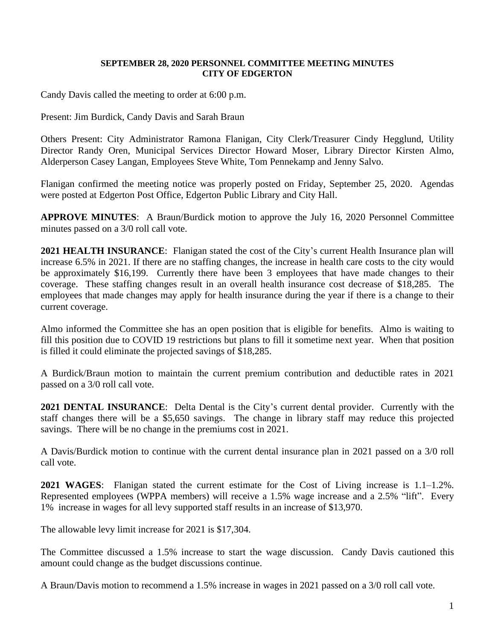## **SEPTEMBER 28, 2020 PERSONNEL COMMITTEE MEETING MINUTES CITY OF EDGERTON**

Candy Davis called the meeting to order at 6:00 p.m.

Present: Jim Burdick, Candy Davis and Sarah Braun

Others Present: City Administrator Ramona Flanigan, City Clerk/Treasurer Cindy Hegglund, Utility Director Randy Oren, Municipal Services Director Howard Moser, Library Director Kirsten Almo, Alderperson Casey Langan, Employees Steve White, Tom Pennekamp and Jenny Salvo.

Flanigan confirmed the meeting notice was properly posted on Friday, September 25, 2020. Agendas were posted at Edgerton Post Office, Edgerton Public Library and City Hall.

**APPROVE MINUTES**: A Braun/Burdick motion to approve the July 16, 2020 Personnel Committee minutes passed on a 3/0 roll call vote.

**2021 HEALTH INSURANCE**: Flanigan stated the cost of the City's current Health Insurance plan will increase 6.5% in 2021. If there are no staffing changes, the increase in health care costs to the city would be approximately \$16,199. Currently there have been 3 employees that have made changes to their coverage. These staffing changes result in an overall health insurance cost decrease of \$18,285. The employees that made changes may apply for health insurance during the year if there is a change to their current coverage.

Almo informed the Committee she has an open position that is eligible for benefits. Almo is waiting to fill this position due to COVID 19 restrictions but plans to fill it sometime next year. When that position is filled it could eliminate the projected savings of \$18,285.

A Burdick/Braun motion to maintain the current premium contribution and deductible rates in 2021 passed on a 3/0 roll call vote.

**2021 DENTAL INSURANCE**: Delta Dental is the City's current dental provider. Currently with the staff changes there will be a \$5,650 savings. The change in library staff may reduce this projected savings. There will be no change in the premiums cost in 2021.

A Davis/Burdick motion to continue with the current dental insurance plan in 2021 passed on a 3/0 roll call vote.

**2021 WAGES**: Flanigan stated the current estimate for the Cost of Living increase is 1.1–1.2%. Represented employees (WPPA members) will receive a 1.5% wage increase and a 2.5% "lift". Every 1% increase in wages for all levy supported staff results in an increase of \$13,970.

The allowable levy limit increase for 2021 is \$17,304.

The Committee discussed a 1.5% increase to start the wage discussion. Candy Davis cautioned this amount could change as the budget discussions continue.

A Braun/Davis motion to recommend a 1.5% increase in wages in 2021 passed on a 3/0 roll call vote.